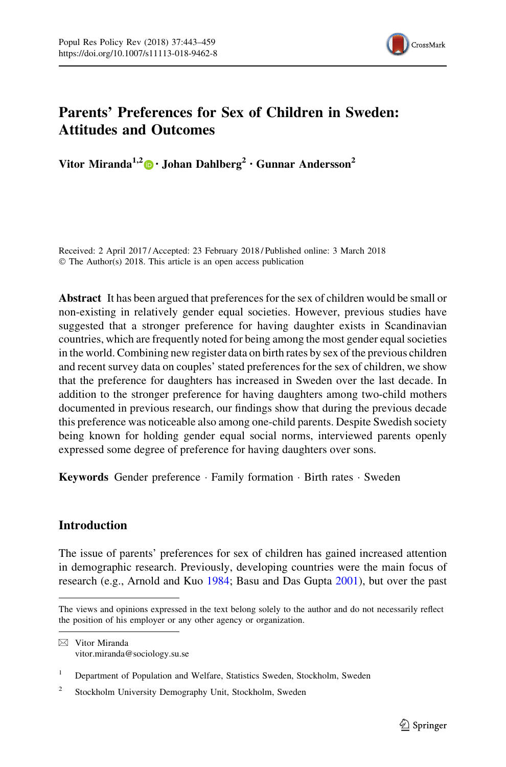

# Parents' Preferences for Sex of Children in Sweden: Attitudes and Outcomes

Vitor Miranda<sup>1,2</sup> • Johan Dahlberg<sup>2</sup> • Gunnar Andersson<sup>2</sup>

Received: 2 April 2017 / Accepted: 23 February 2018 / Published online: 3 March 2018 © The Author(s) 2018. This article is an open access publication

Abstract It has been argued that preferences for the sex of children would be small or non-existing in relatively gender equal societies. However, previous studies have suggested that a stronger preference for having daughter exists in Scandinavian countries, which are frequently noted for being among the most gender equal societies in the world. Combining new register data on birth rates by sex of the previous children and recent survey data on couples' stated preferences for the sex of children, we show that the preference for daughters has increased in Sweden over the last decade. In addition to the stronger preference for having daughters among two-child mothers documented in previous research, our findings show that during the previous decade this preference was noticeable also among one-child parents. Despite Swedish society being known for holding gender equal social norms, interviewed parents openly expressed some degree of preference for having daughters over sons.

Keywords Gender preference · Family formation · Birth rates · Sweden

## Introduction

The issue of parents' preferences for sex of children has gained increased attention in demographic research. Previously, developing countries were the main focus of research (e.g., Arnold and Kuo [1984;](#page-15-0) Basu and Das Gupta [2001\)](#page-15-0), but over the past

The views and opinions expressed in the text belong solely to the author and do not necessarily reflect the position of his employer or any other agency or organization.

 $\boxtimes$  Vitor Miranda vitor.miranda@sociology.su.se

<sup>&</sup>lt;sup>1</sup> Department of Population and Welfare, Statistics Sweden, Stockholm, Sweden

<sup>&</sup>lt;sup>2</sup> Stockholm University Demography Unit, Stockholm, Sweden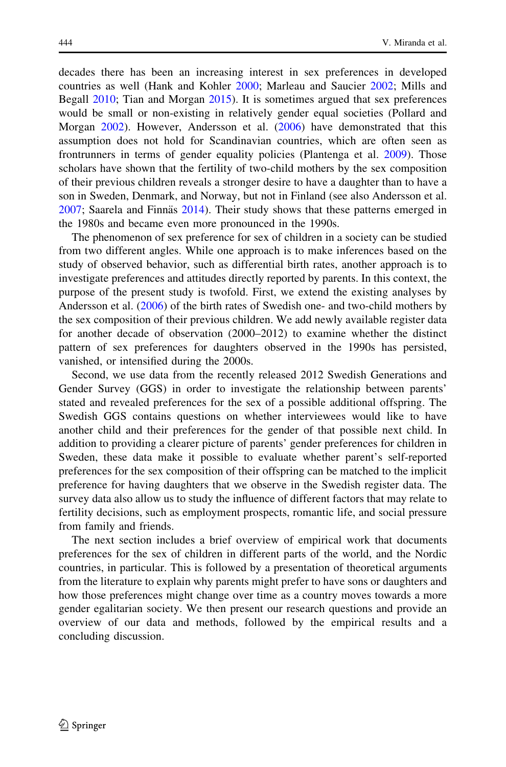decades there has been an increasing interest in sex preferences in developed countries as well (Hank and Kohler [2000;](#page-15-0) Marleau and Saucier [2002;](#page-16-0) Mills and Begall [2010;](#page-16-0) Tian and Morgan [2015](#page-16-0)). It is sometimes argued that sex preferences would be small or non-existing in relatively gender equal societies (Pollard and Morgan [2002\)](#page-16-0). However, Andersson et al. ([2006\)](#page-14-0) have demonstrated that this assumption does not hold for Scandinavian countries, which are often seen as frontrunners in terms of gender equality policies (Plantenga et al. [2009\)](#page-16-0). Those scholars have shown that the fertility of two-child mothers by the sex composition of their previous children reveals a stronger desire to have a daughter than to have a son in Sweden, Denmark, and Norway, but not in Finland (see also Andersson et al.  $2007$ ; Saarela and Finnäs  $2014$ ). Their study shows that these patterns emerged in the 1980s and became even more pronounced in the 1990s.

The phenomenon of sex preference for sex of children in a society can be studied from two different angles. While one approach is to make inferences based on the study of observed behavior, such as differential birth rates, another approach is to investigate preferences and attitudes directly reported by parents. In this context, the purpose of the present study is twofold. First, we extend the existing analyses by Andersson et al. [\(2006](#page-14-0)) of the birth rates of Swedish one- and two-child mothers by the sex composition of their previous children. We add newly available register data for another decade of observation (2000–2012) to examine whether the distinct pattern of sex preferences for daughters observed in the 1990s has persisted, vanished, or intensified during the 2000s.

Second, we use data from the recently released 2012 Swedish Generations and Gender Survey (GGS) in order to investigate the relationship between parents' stated and revealed preferences for the sex of a possible additional offspring. The Swedish GGS contains questions on whether interviewees would like to have another child and their preferences for the gender of that possible next child. In addition to providing a clearer picture of parents' gender preferences for children in Sweden, these data make it possible to evaluate whether parent's self-reported preferences for the sex composition of their offspring can be matched to the implicit preference for having daughters that we observe in the Swedish register data. The survey data also allow us to study the influence of different factors that may relate to fertility decisions, such as employment prospects, romantic life, and social pressure from family and friends.

The next section includes a brief overview of empirical work that documents preferences for the sex of children in different parts of the world, and the Nordic countries, in particular. This is followed by a presentation of theoretical arguments from the literature to explain why parents might prefer to have sons or daughters and how those preferences might change over time as a country moves towards a more gender egalitarian society. We then present our research questions and provide an overview of our data and methods, followed by the empirical results and a concluding discussion.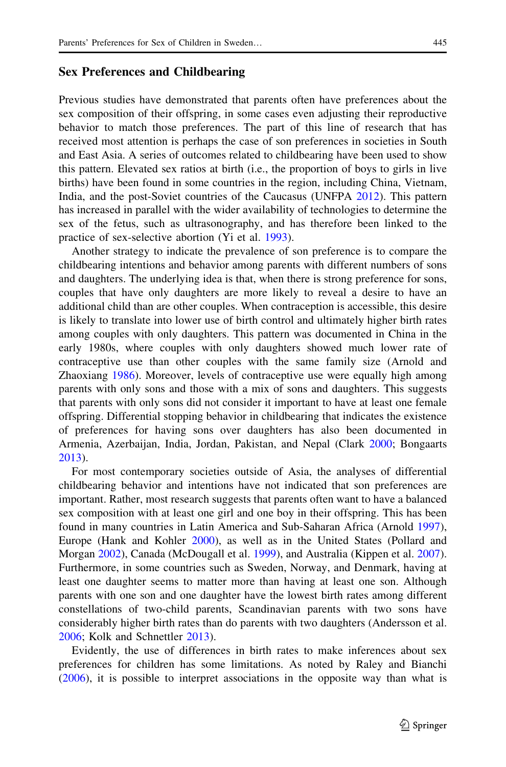#### Sex Preferences and Childbearing

Previous studies have demonstrated that parents often have preferences about the sex composition of their offspring, in some cases even adjusting their reproductive behavior to match those preferences. The part of this line of research that has received most attention is perhaps the case of son preferences in societies in South and East Asia. A series of outcomes related to childbearing have been used to show this pattern. Elevated sex ratios at birth (i.e., the proportion of boys to girls in live births) have been found in some countries in the region, including China, Vietnam, India, and the post-Soviet countries of the Caucasus (UNFPA [2012\)](#page-16-0). This pattern has increased in parallel with the wider availability of technologies to determine the sex of the fetus, such as ultrasonography, and has therefore been linked to the practice of sex-selective abortion (Yi et al. [1993\)](#page-16-0).

Another strategy to indicate the prevalence of son preference is to compare the childbearing intentions and behavior among parents with different numbers of sons and daughters. The underlying idea is that, when there is strong preference for sons, couples that have only daughters are more likely to reveal a desire to have an additional child than are other couples. When contraception is accessible, this desire is likely to translate into lower use of birth control and ultimately higher birth rates among couples with only daughters. This pattern was documented in China in the early 1980s, where couples with only daughters showed much lower rate of contraceptive use than other couples with the same family size (Arnold and Zhaoxiang [1986](#page-15-0)). Moreover, levels of contraceptive use were equally high among parents with only sons and those with a mix of sons and daughters. This suggests that parents with only sons did not consider it important to have at least one female offspring. Differential stopping behavior in childbearing that indicates the existence of preferences for having sons over daughters has also been documented in Armenia, Azerbaijan, India, Jordan, Pakistan, and Nepal (Clark [2000;](#page-15-0) Bongaarts [2013\)](#page-15-0).

For most contemporary societies outside of Asia, the analyses of differential childbearing behavior and intentions have not indicated that son preferences are important. Rather, most research suggests that parents often want to have a balanced sex composition with at least one girl and one boy in their offspring. This has been found in many countries in Latin America and Sub-Saharan Africa (Arnold [1997\)](#page-14-0), Europe (Hank and Kohler [2000\)](#page-15-0), as well as in the United States (Pollard and Morgan [2002](#page-16-0)), Canada (McDougall et al. [1999](#page-16-0)), and Australia (Kippen et al. [2007\)](#page-15-0). Furthermore, in some countries such as Sweden, Norway, and Denmark, having at least one daughter seems to matter more than having at least one son. Although parents with one son and one daughter have the lowest birth rates among different constellations of two-child parents, Scandinavian parents with two sons have considerably higher birth rates than do parents with two daughters (Andersson et al. [2006;](#page-14-0) Kolk and Schnettler [2013](#page-15-0)).

Evidently, the use of differences in birth rates to make inferences about sex preferences for children has some limitations. As noted by Raley and Bianchi [\(2006](#page-16-0)), it is possible to interpret associations in the opposite way than what is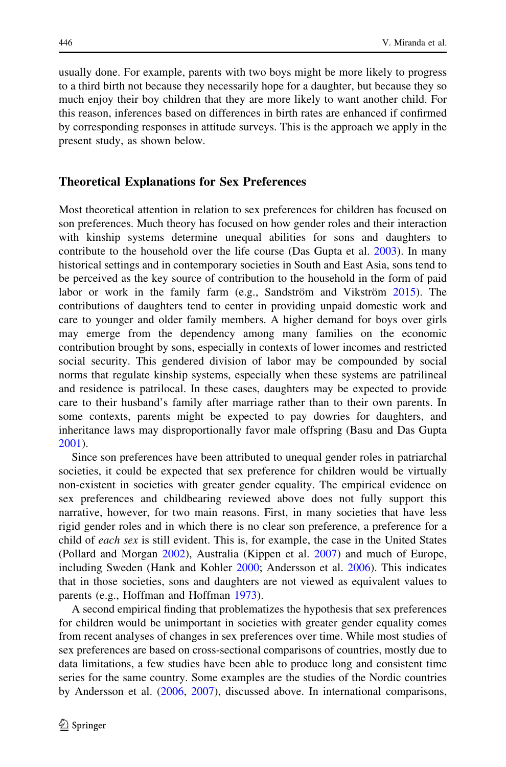usually done. For example, parents with two boys might be more likely to progress to a third birth not because they necessarily hope for a daughter, but because they so much enjoy their boy children that they are more likely to want another child. For this reason, inferences based on differences in birth rates are enhanced if confirmed by corresponding responses in attitude surveys. This is the approach we apply in the present study, as shown below.

## Theoretical Explanations for Sex Preferences

Most theoretical attention in relation to sex preferences for children has focused on son preferences. Much theory has focused on how gender roles and their interaction with kinship systems determine unequal abilities for sons and daughters to contribute to the household over the life course (Das Gupta et al. [2003\)](#page-15-0). In many historical settings and in contemporary societies in South and East Asia, sons tend to be perceived as the key source of contribution to the household in the form of paid labor or work in the family farm (e.g., Sandström and Vikström [2015](#page-16-0)). The contributions of daughters tend to center in providing unpaid domestic work and care to younger and older family members. A higher demand for boys over girls may emerge from the dependency among many families on the economic contribution brought by sons, especially in contexts of lower incomes and restricted social security. This gendered division of labor may be compounded by social norms that regulate kinship systems, especially when these systems are patrilineal and residence is patrilocal. In these cases, daughters may be expected to provide care to their husband's family after marriage rather than to their own parents. In some contexts, parents might be expected to pay dowries for daughters, and inheritance laws may disproportionally favor male offspring (Basu and Das Gupta [2001\)](#page-15-0).

Since son preferences have been attributed to unequal gender roles in patriarchal societies, it could be expected that sex preference for children would be virtually non-existent in societies with greater gender equality. The empirical evidence on sex preferences and childbearing reviewed above does not fully support this narrative, however, for two main reasons. First, in many societies that have less rigid gender roles and in which there is no clear son preference, a preference for a child of each sex is still evident. This is, for example, the case in the United States (Pollard and Morgan [2002](#page-16-0)), Australia (Kippen et al. [2007\)](#page-15-0) and much of Europe, including Sweden (Hank and Kohler [2000](#page-15-0); Andersson et al. [2006\)](#page-14-0). This indicates that in those societies, sons and daughters are not viewed as equivalent values to parents (e.g., Hoffman and Hoffman [1973](#page-15-0)).

A second empirical finding that problematizes the hypothesis that sex preferences for children would be unimportant in societies with greater gender equality comes from recent analyses of changes in sex preferences over time. While most studies of sex preferences are based on cross-sectional comparisons of countries, mostly due to data limitations, a few studies have been able to produce long and consistent time series for the same country. Some examples are the studies of the Nordic countries by Andersson et al. ([2006,](#page-14-0) [2007](#page-14-0)), discussed above. In international comparisons,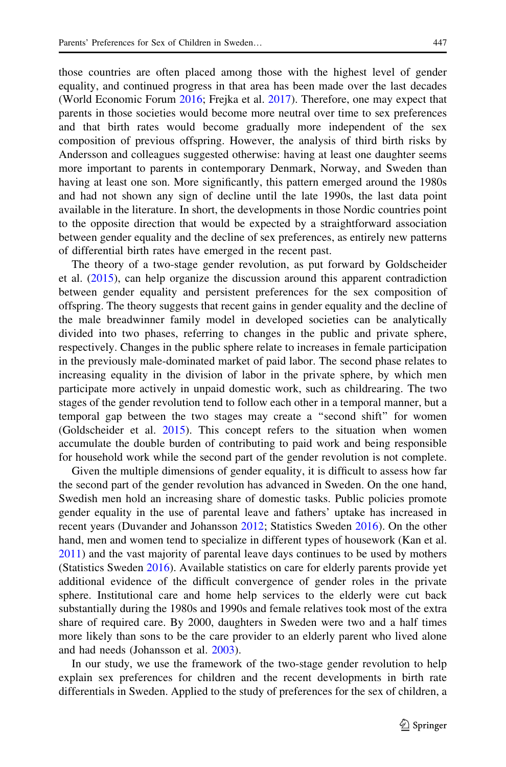those countries are often placed among those with the highest level of gender equality, and continued progress in that area has been made over the last decades (World Economic Forum [2016;](#page-16-0) Frejka et al. [2017\)](#page-15-0). Therefore, one may expect that parents in those societies would become more neutral over time to sex preferences and that birth rates would become gradually more independent of the sex composition of previous offspring. However, the analysis of third birth risks by Andersson and colleagues suggested otherwise: having at least one daughter seems more important to parents in contemporary Denmark, Norway, and Sweden than having at least one son. More significantly, this pattern emerged around the 1980s and had not shown any sign of decline until the late 1990s, the last data point available in the literature. In short, the developments in those Nordic countries point to the opposite direction that would be expected by a straightforward association between gender equality and the decline of sex preferences, as entirely new patterns of differential birth rates have emerged in the recent past.

The theory of a two-stage gender revolution, as put forward by Goldscheider et al. [\(2015\)](#page-15-0), can help organize the discussion around this apparent contradiction between gender equality and persistent preferences for the sex composition of offspring. The theory suggests that recent gains in gender equality and the decline of the male breadwinner family model in developed societies can be analytically divided into two phases, referring to changes in the public and private sphere, respectively. Changes in the public sphere relate to increases in female participation in the previously male-dominated market of paid labor. The second phase relates to increasing equality in the division of labor in the private sphere, by which men participate more actively in unpaid domestic work, such as childrearing. The two stages of the gender revolution tend to follow each other in a temporal manner, but a temporal gap between the two stages may create a ''second shift'' for women (Goldscheider et al. [2015](#page-15-0)). This concept refers to the situation when women accumulate the double burden of contributing to paid work and being responsible for household work while the second part of the gender revolution is not complete.

Given the multiple dimensions of gender equality, it is difficult to assess how far the second part of the gender revolution has advanced in Sweden. On the one hand, Swedish men hold an increasing share of domestic tasks. Public policies promote gender equality in the use of parental leave and fathers' uptake has increased in recent years (Duvander and Johansson [2012](#page-15-0); Statistics Sweden [2016\)](#page-16-0). On the other hand, men and women tend to specialize in different types of housework (Kan et al. [2011\)](#page-15-0) and the vast majority of parental leave days continues to be used by mothers (Statistics Sweden [2016](#page-16-0)). Available statistics on care for elderly parents provide yet additional evidence of the difficult convergence of gender roles in the private sphere. Institutional care and home help services to the elderly were cut back substantially during the 1980s and 1990s and female relatives took most of the extra share of required care. By 2000, daughters in Sweden were two and a half times more likely than sons to be the care provider to an elderly parent who lived alone and had needs (Johansson et al. [2003\)](#page-15-0).

In our study, we use the framework of the two-stage gender revolution to help explain sex preferences for children and the recent developments in birth rate differentials in Sweden. Applied to the study of preferences for the sex of children, a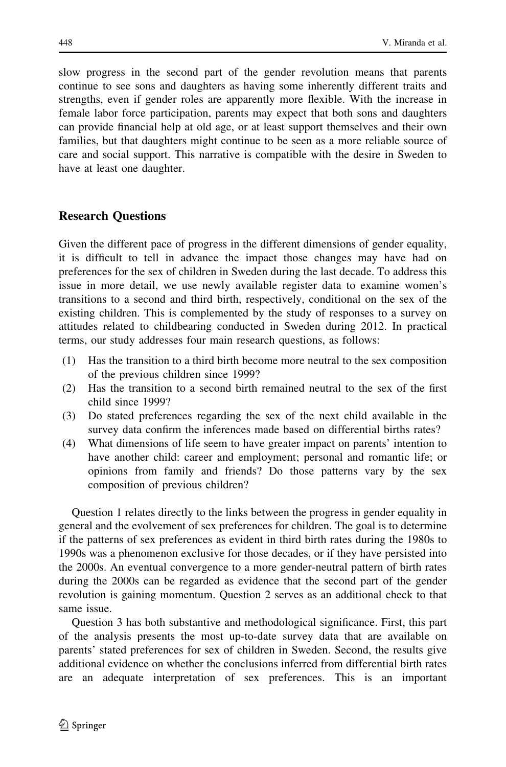slow progress in the second part of the gender revolution means that parents continue to see sons and daughters as having some inherently different traits and strengths, even if gender roles are apparently more flexible. With the increase in female labor force participation, parents may expect that both sons and daughters can provide financial help at old age, or at least support themselves and their own families, but that daughters might continue to be seen as a more reliable source of care and social support. This narrative is compatible with the desire in Sweden to have at least one daughter.

### Research Questions

Given the different pace of progress in the different dimensions of gender equality, it is difficult to tell in advance the impact those changes may have had on preferences for the sex of children in Sweden during the last decade. To address this issue in more detail, we use newly available register data to examine women's transitions to a second and third birth, respectively, conditional on the sex of the existing children. This is complemented by the study of responses to a survey on attitudes related to childbearing conducted in Sweden during 2012. In practical terms, our study addresses four main research questions, as follows:

- (1) Has the transition to a third birth become more neutral to the sex composition of the previous children since 1999?
- (2) Has the transition to a second birth remained neutral to the sex of the first child since 1999?
- (3) Do stated preferences regarding the sex of the next child available in the survey data confirm the inferences made based on differential births rates?
- (4) What dimensions of life seem to have greater impact on parents' intention to have another child: career and employment; personal and romantic life; or opinions from family and friends? Do those patterns vary by the sex composition of previous children?

Question 1 relates directly to the links between the progress in gender equality in general and the evolvement of sex preferences for children. The goal is to determine if the patterns of sex preferences as evident in third birth rates during the 1980s to 1990s was a phenomenon exclusive for those decades, or if they have persisted into the 2000s. An eventual convergence to a more gender-neutral pattern of birth rates during the 2000s can be regarded as evidence that the second part of the gender revolution is gaining momentum. Question 2 serves as an additional check to that same issue.

Question 3 has both substantive and methodological significance. First, this part of the analysis presents the most up-to-date survey data that are available on parents' stated preferences for sex of children in Sweden. Second, the results give additional evidence on whether the conclusions inferred from differential birth rates are an adequate interpretation of sex preferences. This is an important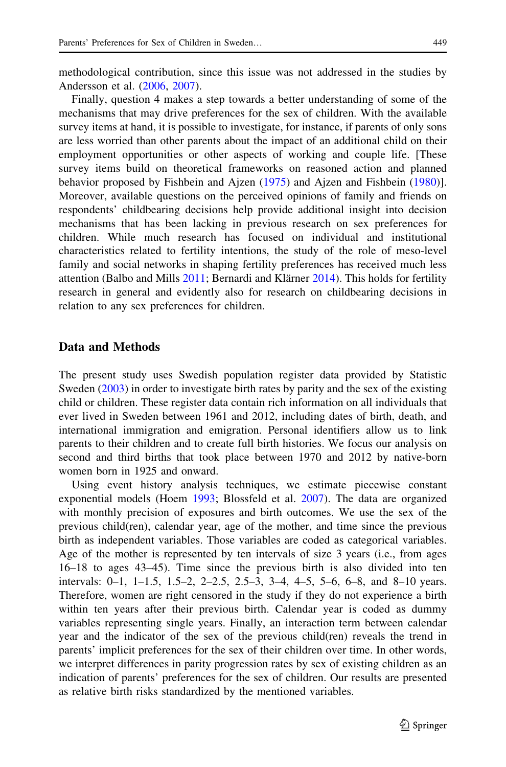methodological contribution, since this issue was not addressed in the studies by Andersson et al. ([2006,](#page-14-0) [2007\)](#page-14-0).

Finally, question 4 makes a step towards a better understanding of some of the mechanisms that may drive preferences for the sex of children. With the available survey items at hand, it is possible to investigate, for instance, if parents of only sons are less worried than other parents about the impact of an additional child on their employment opportunities or other aspects of working and couple life. [These survey items build on theoretical frameworks on reasoned action and planned behavior proposed by Fishbein and Ajzen ([1975\)](#page-15-0) and Ajzen and Fishbein [\(1980](#page-14-0))]. Moreover, available questions on the perceived opinions of family and friends on respondents' childbearing decisions help provide additional insight into decision mechanisms that has been lacking in previous research on sex preferences for children. While much research has focused on individual and institutional characteristics related to fertility intentions, the study of the role of meso-level family and social networks in shaping fertility preferences has received much less attention (Balbo and Mills  $2011$ ; Bernardi and Klärner  $2014$ ). This holds for fertility research in general and evidently also for research on childbearing decisions in relation to any sex preferences for children.

#### Data and Methods

The present study uses Swedish population register data provided by Statistic Sweden [\(2003](#page-16-0)) in order to investigate birth rates by parity and the sex of the existing child or children. These register data contain rich information on all individuals that ever lived in Sweden between 1961 and 2012, including dates of birth, death, and international immigration and emigration. Personal identifiers allow us to link parents to their children and to create full birth histories. We focus our analysis on second and third births that took place between 1970 and 2012 by native-born women born in 1925 and onward.

Using event history analysis techniques, we estimate piecewise constant exponential models (Hoem [1993](#page-15-0); Blossfeld et al. [2007\)](#page-15-0). The data are organized with monthly precision of exposures and birth outcomes. We use the sex of the previous child(ren), calendar year, age of the mother, and time since the previous birth as independent variables. Those variables are coded as categorical variables. Age of the mother is represented by ten intervals of size 3 years (i.e., from ages 16–18 to ages 43–45). Time since the previous birth is also divided into ten intervals: 0–1, 1–1.5, 1.5–2, 2–2.5, 2.5–3, 3–4, 4–5, 5–6, 6–8, and 8–10 years. Therefore, women are right censored in the study if they do not experience a birth within ten years after their previous birth. Calendar year is coded as dummy variables representing single years. Finally, an interaction term between calendar year and the indicator of the sex of the previous child(ren) reveals the trend in parents' implicit preferences for the sex of their children over time. In other words, we interpret differences in parity progression rates by sex of existing children as an indication of parents' preferences for the sex of children. Our results are presented as relative birth risks standardized by the mentioned variables.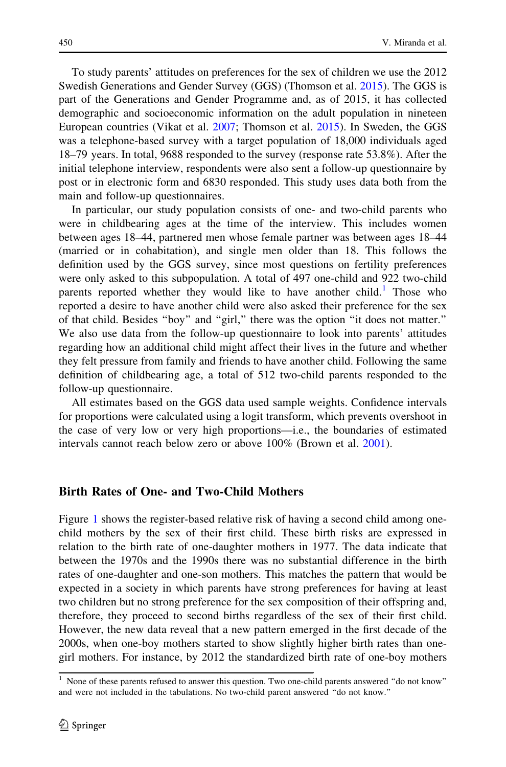To study parents' attitudes on preferences for the sex of children we use the 2012 Swedish Generations and Gender Survey (GGS) (Thomson et al. [2015\)](#page-16-0). The GGS is part of the Generations and Gender Programme and, as of 2015, it has collected demographic and socioeconomic information on the adult population in nineteen European countries (Vikat et al. [2007;](#page-16-0) Thomson et al. [2015](#page-16-0)). In Sweden, the GGS was a telephone-based survey with a target population of 18,000 individuals aged 18–79 years. In total, 9688 responded to the survey (response rate 53.8%). After the initial telephone interview, respondents were also sent a follow-up questionnaire by post or in electronic form and 6830 responded. This study uses data both from the main and follow-up questionnaires.

In particular, our study population consists of one- and two-child parents who were in childbearing ages at the time of the interview. This includes women between ages 18–44, partnered men whose female partner was between ages 18–44 (married or in cohabitation), and single men older than 18. This follows the definition used by the GGS survey, since most questions on fertility preferences were only asked to this subpopulation. A total of 497 one-child and 922 two-child parents reported whether they would like to have another child.<sup>1</sup> Those who reported a desire to have another child were also asked their preference for the sex of that child. Besides ''boy'' and ''girl,'' there was the option ''it does not matter.'' We also use data from the follow-up questionnaire to look into parents' attitudes regarding how an additional child might affect their lives in the future and whether they felt pressure from family and friends to have another child. Following the same definition of childbearing age, a total of 512 two-child parents responded to the follow-up questionnaire.

All estimates based on the GGS data used sample weights. Confidence intervals for proportions were calculated using a logit transform, which prevents overshoot in the case of very low or very high proportions—i.e., the boundaries of estimated intervals cannot reach below zero or above 100% (Brown et al. [2001](#page-15-0)).

### Birth Rates of One- and Two-Child Mothers

Figure [1](#page-8-0) shows the register-based relative risk of having a second child among onechild mothers by the sex of their first child. These birth risks are expressed in relation to the birth rate of one-daughter mothers in 1977. The data indicate that between the 1970s and the 1990s there was no substantial difference in the birth rates of one-daughter and one-son mothers. This matches the pattern that would be expected in a society in which parents have strong preferences for having at least two children but no strong preference for the sex composition of their offspring and, therefore, they proceed to second births regardless of the sex of their first child. However, the new data reveal that a new pattern emerged in the first decade of the 2000s, when one-boy mothers started to show slightly higher birth rates than onegirl mothers. For instance, by 2012 the standardized birth rate of one-boy mothers

<sup>&</sup>lt;sup>1</sup> None of these parents refused to answer this question. Two one-child parents answered "do not know" and were not included in the tabulations. No two-child parent answered ''do not know.''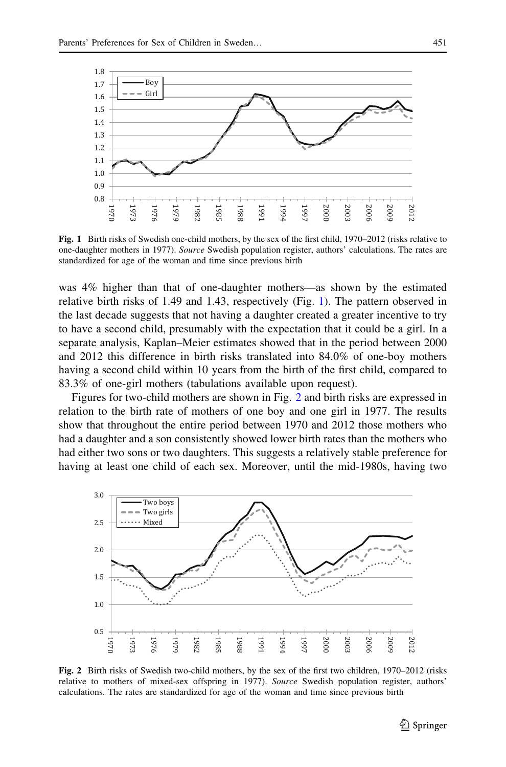<span id="page-8-0"></span>

Fig. 1 Birth risks of Swedish one-child mothers, by the sex of the first child, 1970–2012 (risks relative to one-daughter mothers in 1977). Source Swedish population register, authors' calculations. The rates are standardized for age of the woman and time since previous birth

was 4% higher than that of one-daughter mothers—as shown by the estimated relative birth risks of 1.49 and 1.43, respectively (Fig. 1). The pattern observed in the last decade suggests that not having a daughter created a greater incentive to try to have a second child, presumably with the expectation that it could be a girl. In a separate analysis, Kaplan–Meier estimates showed that in the period between 2000 and 2012 this difference in birth risks translated into 84.0% of one-boy mothers having a second child within 10 years from the birth of the first child, compared to 83.3% of one-girl mothers (tabulations available upon request).

Figures for two-child mothers are shown in Fig. 2 and birth risks are expressed in relation to the birth rate of mothers of one boy and one girl in 1977. The results show that throughout the entire period between 1970 and 2012 those mothers who had a daughter and a son consistently showed lower birth rates than the mothers who had either two sons or two daughters. This suggests a relatively stable preference for having at least one child of each sex. Moreover, until the mid-1980s, having two



Fig. 2 Birth risks of Swedish two-child mothers, by the sex of the first two children, 1970–2012 (risks relative to mothers of mixed-sex offspring in 1977). Source Swedish population register, authors' calculations. The rates are standardized for age of the woman and time since previous birth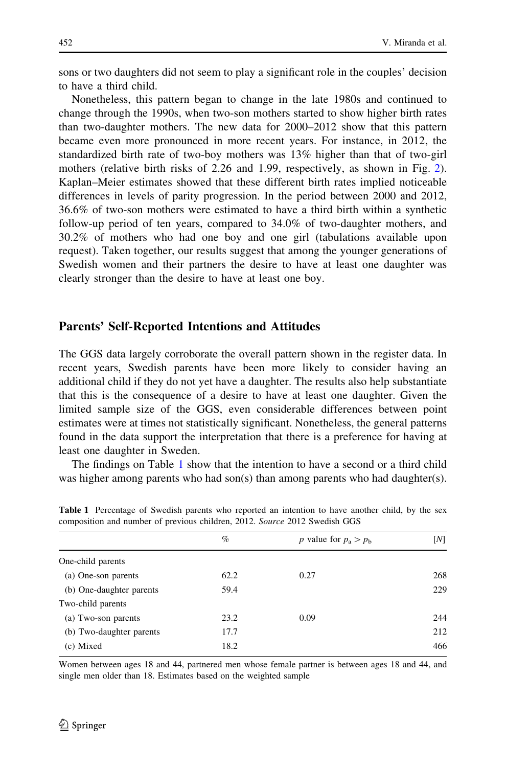<span id="page-9-0"></span>sons or two daughters did not seem to play a significant role in the couples' decision to have a third child.

Nonetheless, this pattern began to change in the late 1980s and continued to change through the 1990s, when two-son mothers started to show higher birth rates than two-daughter mothers. The new data for 2000–2012 show that this pattern became even more pronounced in more recent years. For instance, in 2012, the standardized birth rate of two-boy mothers was 13% higher than that of two-girl mothers (relative birth risks of 2.26 and 1.99, respectively, as shown in Fig. [2\)](#page-8-0). Kaplan–Meier estimates showed that these different birth rates implied noticeable differences in levels of parity progression. In the period between 2000 and 2012, 36.6% of two-son mothers were estimated to have a third birth within a synthetic follow-up period of ten years, compared to 34.0% of two-daughter mothers, and 30.2% of mothers who had one boy and one girl (tabulations available upon request). Taken together, our results suggest that among the younger generations of Swedish women and their partners the desire to have at least one daughter was clearly stronger than the desire to have at least one boy.

#### Parents' Self-Reported Intentions and Attitudes

The GGS data largely corroborate the overall pattern shown in the register data. In recent years, Swedish parents have been more likely to consider having an additional child if they do not yet have a daughter. The results also help substantiate that this is the consequence of a desire to have at least one daughter. Given the limited sample size of the GGS, even considerable differences between point estimates were at times not statistically significant. Nonetheless, the general patterns found in the data support the interpretation that there is a preference for having at least one daughter in Sweden.

The findings on Table 1 show that the intention to have a second or a third child was higher among parents who had son(s) than among parents who had daughter(s).

|      |      | ſМ                      |
|------|------|-------------------------|
|      |      |                         |
| 62.2 | 0.27 | 268                     |
| 59.4 |      | 229                     |
|      |      |                         |
| 23.2 | 0.09 | 244                     |
| 17.7 |      | 212                     |
| 18.2 |      | 466                     |
|      | $\%$ | p value for $p_a > p_b$ |

Table 1 Percentage of Swedish parents who reported an intention to have another child, by the sex composition and number of previous children, 2012. Source 2012 Swedish GGS

Women between ages 18 and 44, partnered men whose female partner is between ages 18 and 44, and single men older than 18. Estimates based on the weighted sample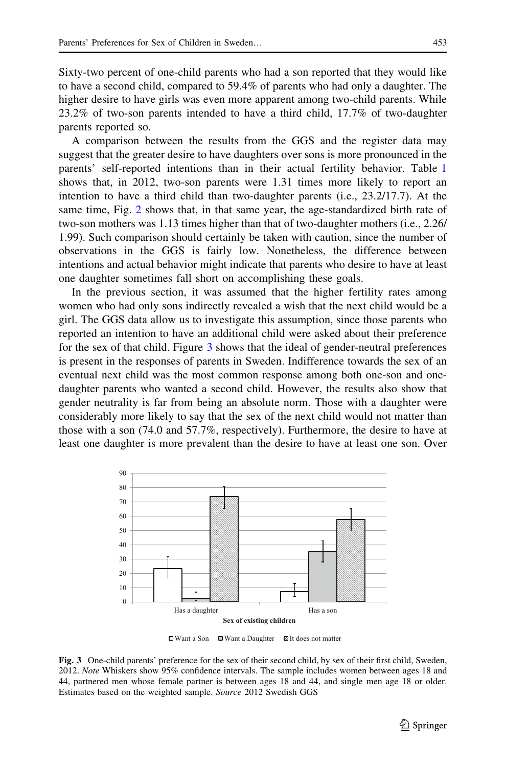Sixty-two percent of one-child parents who had a son reported that they would like to have a second child, compared to 59.4% of parents who had only a daughter. The higher desire to have girls was even more apparent among two-child parents. While 23.2% of two-son parents intended to have a third child, 17.7% of two-daughter parents reported so.

A comparison between the results from the GGS and the register data may suggest that the greater desire to have daughters over sons is more pronounced in the parents' self-reported intentions than in their actual fertility behavior. Table [1](#page-9-0) shows that, in 2012, two-son parents were 1.31 times more likely to report an intention to have a third child than two-daughter parents (i.e., 23.2/17.7). At the same time, Fig. [2](#page-8-0) shows that, in that same year, the age-standardized birth rate of two-son mothers was 1.13 times higher than that of two-daughter mothers (i.e., 2.26/ 1.99). Such comparison should certainly be taken with caution, since the number of observations in the GGS is fairly low. Nonetheless, the difference between intentions and actual behavior might indicate that parents who desire to have at least one daughter sometimes fall short on accomplishing these goals.

In the previous section, it was assumed that the higher fertility rates among women who had only sons indirectly revealed a wish that the next child would be a girl. The GGS data allow us to investigate this assumption, since those parents who reported an intention to have an additional child were asked about their preference for the sex of that child. Figure 3 shows that the ideal of gender-neutral preferences is present in the responses of parents in Sweden. Indifference towards the sex of an eventual next child was the most common response among both one-son and onedaughter parents who wanted a second child. However, the results also show that gender neutrality is far from being an absolute norm. Those with a daughter were considerably more likely to say that the sex of the next child would not matter than those with a son (74.0 and 57.7%, respectively). Furthermore, the desire to have at least one daughter is more prevalent than the desire to have at least one son. Over



**□Want a Son** ■Want a Daughter **II** does not matter

Fig. 3 One-child parents' preference for the sex of their second child, by sex of their first child, Sweden, 2012. Note Whiskers show 95% confidence intervals. The sample includes women between ages 18 and 44, partnered men whose female partner is between ages 18 and 44, and single men age 18 or older. Estimates based on the weighted sample. Source 2012 Swedish GGS

 $\bigcirc$  Springer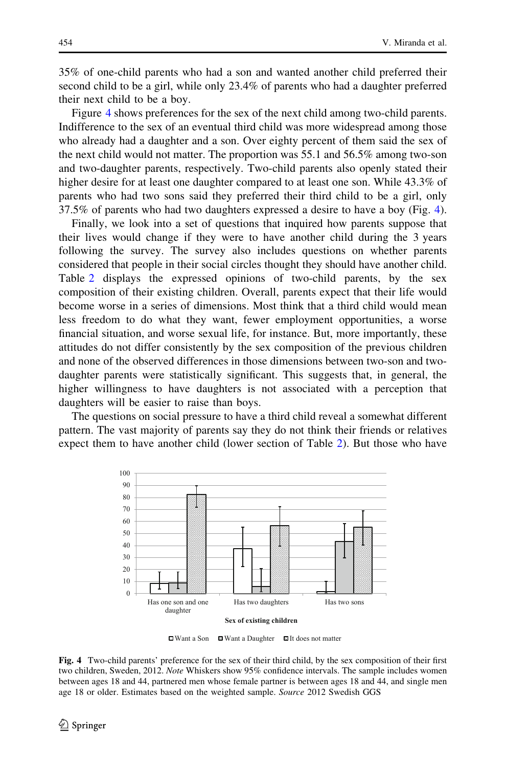35% of one-child parents who had a son and wanted another child preferred their second child to be a girl, while only 23.4% of parents who had a daughter preferred their next child to be a boy.

Figure 4 shows preferences for the sex of the next child among two-child parents. Indifference to the sex of an eventual third child was more widespread among those who already had a daughter and a son. Over eighty percent of them said the sex of the next child would not matter. The proportion was 55.1 and 56.5% among two-son and two-daughter parents, respectively. Two-child parents also openly stated their higher desire for at least one daughter compared to at least one son. While 43.3% of parents who had two sons said they preferred their third child to be a girl, only 37.5% of parents who had two daughters expressed a desire to have a boy (Fig. 4).

Finally, we look into a set of questions that inquired how parents suppose that their lives would change if they were to have another child during the 3 years following the survey. The survey also includes questions on whether parents considered that people in their social circles thought they should have another child. Table [2](#page-12-0) displays the expressed opinions of two-child parents, by the sex composition of their existing children. Overall, parents expect that their life would become worse in a series of dimensions. Most think that a third child would mean less freedom to do what they want, fewer employment opportunities, a worse financial situation, and worse sexual life, for instance. But, more importantly, these attitudes do not differ consistently by the sex composition of the previous children and none of the observed differences in those dimensions between two-son and twodaughter parents were statistically significant. This suggests that, in general, the higher willingness to have daughters is not associated with a perception that daughters will be easier to raise than boys.

The questions on social pressure to have a third child reveal a somewhat different pattern. The vast majority of parents say they do not think their friends or relatives expect them to have another child (lower section of Table [2\)](#page-12-0). But those who have



**□Want a Son** ■Want a Daughter **□It does not matter** 

Fig. 4 Two-child parents' preference for the sex of their third child, by the sex composition of their first two children, Sweden, 2012. Note Whiskers show 95% confidence intervals. The sample includes women between ages 18 and 44, partnered men whose female partner is between ages 18 and 44, and single men age 18 or older. Estimates based on the weighted sample. Source 2012 Swedish GGS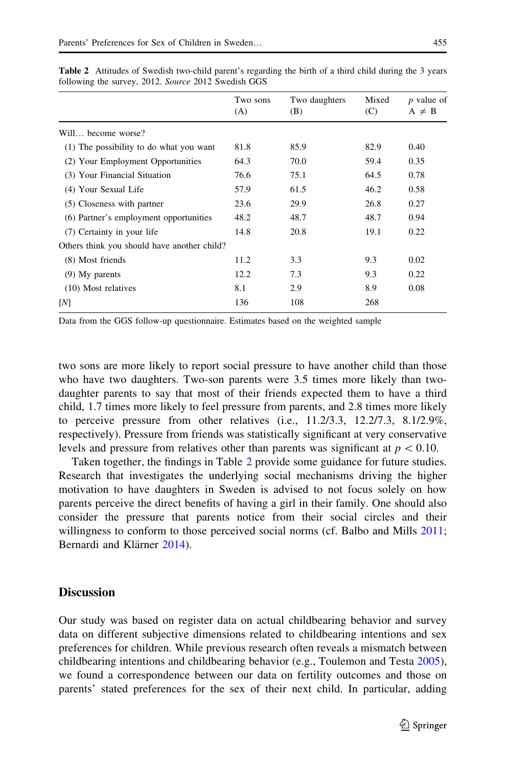|                                             | Two sons<br>(A) | Two daughters<br>(B) | Mixed<br>(C) | <i>p</i> value of<br>$A \neq B$ |
|---------------------------------------------|-----------------|----------------------|--------------|---------------------------------|
|                                             |                 |                      |              |                                 |
| Will become worse?                          |                 |                      |              |                                 |
| (1) The possibility to do what you want     | 81.8            | 85.9                 | 82.9         | 0.40                            |
| (2) Your Employment Opportunities           | 64.3            | 70.0                 | 59.4         | 0.35                            |
| (3) Your Financial Situation                | 76.6            | 75.1                 | 64.5         | 0.78                            |
| (4) Your Sexual Life                        | 57.9            | 61.5                 | 46.2         | 0.58                            |
| (5) Closeness with partner                  | 23.6            | 29.9                 | 26.8         | 0.27                            |
| (6) Partner's employment opportunities      | 48.2            | 48.7                 | 48.7         | 0.94                            |
| (7) Certainty in your life                  | 14.8            | 20.8                 | 19.1         | 0.22                            |
| Others think you should have another child? |                 |                      |              |                                 |
| (8) Most friends                            | 11.2            | 3.3                  | 9.3          | 0.02                            |
| $(9)$ My parents                            | 12.2            | 7.3                  | 9.3          | 0.22                            |
| (10) Most relatives                         | 8.1             | 2.9                  | 8.9          | 0.08                            |
| [N]                                         | 136             | 108                  | 268          |                                 |

<span id="page-12-0"></span>Table 2 Attitudes of Swedish two-child parent's regarding the birth of a third child during the 3 years following the survey, 2012. Source 2012 Swedish GGS

Data from the GGS follow-up questionnaire. Estimates based on the weighted sample

two sons are more likely to report social pressure to have another child than those who have two daughters. Two-son parents were 3.5 times more likely than twodaughter parents to say that most of their friends expected them to have a third child, 1.7 times more likely to feel pressure from parents, and 2.8 times more likely to perceive pressure from other relatives  $(i.e., 11.2/3.3, 12.2/7.3, 8.1/2.9%,$ respectively). Pressure from friends was statistically significant at very conservative levels and pressure from relatives other than parents was significant at  $p < 0.10$ .

Taken together, the findings in Table 2 provide some guidance for future studies. Research that investigates the underlying social mechanisms driving the higher motivation to have daughters in Sweden is advised to not focus solely on how parents perceive the direct benefits of having a girl in their family. One should also consider the pressure that parents notice from their social circles and their willingness to conform to those perceived social norms (cf. Balbo and Mills [2011;](#page-15-0) Bernardi and Klärner [2014](#page-15-0)).

#### **Discussion**

Our study was based on register data on actual childbearing behavior and survey data on different subjective dimensions related to childbearing intentions and sex preferences for children. While previous research often reveals a mismatch between childbearing intentions and childbearing behavior (e.g., Toulemon and Testa [2005\)](#page-16-0), we found a correspondence between our data on fertility outcomes and those on parents' stated preferences for the sex of their next child. In particular, adding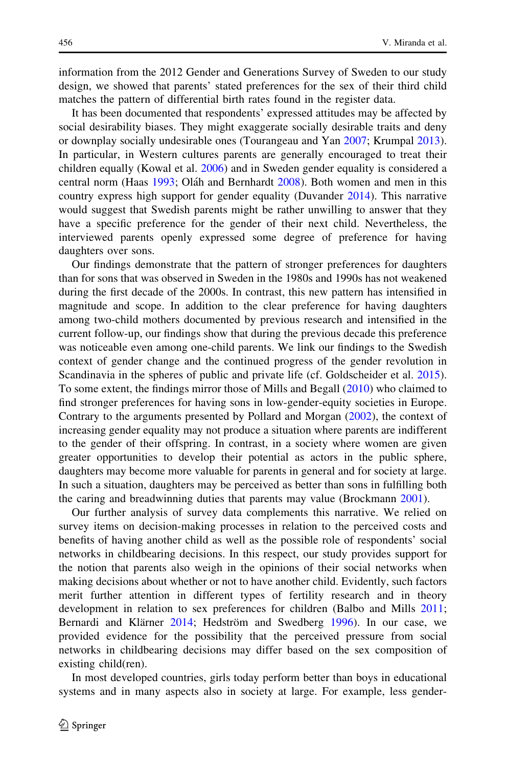information from the 2012 Gender and Generations Survey of Sweden to our study design, we showed that parents' stated preferences for the sex of their third child matches the pattern of differential birth rates found in the register data.

It has been documented that respondents' expressed attitudes may be affected by social desirability biases. They might exaggerate socially desirable traits and deny or downplay socially undesirable ones (Tourangeau and Yan [2007;](#page-16-0) Krumpal [2013\)](#page-16-0). In particular, in Western cultures parents are generally encouraged to treat their children equally (Kowal et al. [2006\)](#page-15-0) and in Sweden gender equality is considered a central norm (Haas [1993](#page-15-0); Oláh and Bernhardt [2008](#page-16-0)). Both women and men in this country express high support for gender equality (Duvander [2014\)](#page-15-0). This narrative would suggest that Swedish parents might be rather unwilling to answer that they have a specific preference for the gender of their next child. Nevertheless, the interviewed parents openly expressed some degree of preference for having daughters over sons.

Our findings demonstrate that the pattern of stronger preferences for daughters than for sons that was observed in Sweden in the 1980s and 1990s has not weakened during the first decade of the 2000s. In contrast, this new pattern has intensified in magnitude and scope. In addition to the clear preference for having daughters among two-child mothers documented by previous research and intensified in the current follow-up, our findings show that during the previous decade this preference was noticeable even among one-child parents. We link our findings to the Swedish context of gender change and the continued progress of the gender revolution in Scandinavia in the spheres of public and private life (cf. Goldscheider et al. [2015\)](#page-15-0). To some extent, the findings mirror those of Mills and Begall [\(2010](#page-16-0)) who claimed to find stronger preferences for having sons in low-gender-equity societies in Europe. Contrary to the arguments presented by Pollard and Morgan [\(2002](#page-16-0)), the context of increasing gender equality may not produce a situation where parents are indifferent to the gender of their offspring. In contrast, in a society where women are given greater opportunities to develop their potential as actors in the public sphere, daughters may become more valuable for parents in general and for society at large. In such a situation, daughters may be perceived as better than sons in fulfilling both the caring and breadwinning duties that parents may value (Brockmann [2001\)](#page-15-0).

Our further analysis of survey data complements this narrative. We relied on survey items on decision-making processes in relation to the perceived costs and benefits of having another child as well as the possible role of respondents' social networks in childbearing decisions. In this respect, our study provides support for the notion that parents also weigh in the opinions of their social networks when making decisions about whether or not to have another child. Evidently, such factors merit further attention in different types of fertility research and in theory development in relation to sex preferences for children (Balbo and Mills [2011;](#page-15-0) Bernardi and Klärner [2014;](#page-15-0) Hedström and Swedberg [1996\)](#page-15-0). In our case, we provided evidence for the possibility that the perceived pressure from social networks in childbearing decisions may differ based on the sex composition of existing child(ren).

In most developed countries, girls today perform better than boys in educational systems and in many aspects also in society at large. For example, less gender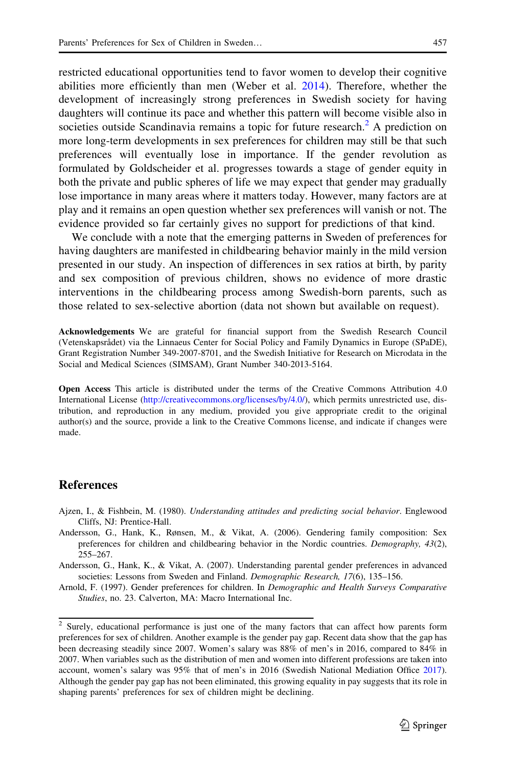<span id="page-14-0"></span>restricted educational opportunities tend to favor women to develop their cognitive abilities more efficiently than men (Weber et al. [2014](#page-16-0)). Therefore, whether the development of increasingly strong preferences in Swedish society for having daughters will continue its pace and whether this pattern will become visible also in societies outside Scandinavia remains a topic for future research.<sup>2</sup> A prediction on more long-term developments in sex preferences for children may still be that such preferences will eventually lose in importance. If the gender revolution as formulated by Goldscheider et al. progresses towards a stage of gender equity in both the private and public spheres of life we may expect that gender may gradually lose importance in many areas where it matters today. However, many factors are at play and it remains an open question whether sex preferences will vanish or not. The evidence provided so far certainly gives no support for predictions of that kind.

We conclude with a note that the emerging patterns in Sweden of preferences for having daughters are manifested in childbearing behavior mainly in the mild version presented in our study. An inspection of differences in sex ratios at birth, by parity and sex composition of previous children, shows no evidence of more drastic interventions in the childbearing process among Swedish-born parents, such as those related to sex-selective abortion (data not shown but available on request).

Acknowledgements We are grateful for financial support from the Swedish Research Council (Vetenskapsra˚det) via the Linnaeus Center for Social Policy and Family Dynamics in Europe (SPaDE), Grant Registration Number 349-2007-8701, and the Swedish Initiative for Research on Microdata in the Social and Medical Sciences (SIMSAM), Grant Number 340-2013-5164.

Open Access This article is distributed under the terms of the Creative Commons Attribution 4.0 International License ([http://creativecommons.org/licenses/by/4.0/\)](http://creativecommons.org/licenses/by/4.0/), which permits unrestricted use, distribution, and reproduction in any medium, provided you give appropriate credit to the original author(s) and the source, provide a link to the Creative Commons license, and indicate if changes were made.

#### References

- Ajzen, I., & Fishbein, M. (1980). Understanding attitudes and predicting social behavior. Englewood Cliffs, NJ: Prentice-Hall.
- Andersson, G., Hank, K., Rønsen, M., & Vikat, A. (2006). Gendering family composition: Sex preferences for children and childbearing behavior in the Nordic countries. Demography, 43(2), 255–267.

Andersson, G., Hank, K., & Vikat, A. (2007). Understanding parental gender preferences in advanced societies: Lessons from Sweden and Finland. Demographic Research, 17(6), 135–156.

Arnold, F. (1997). Gender preferences for children. In Demographic and Health Surveys Comparative Studies, no. 23. Calverton, MA: Macro International Inc.

 $\frac{2}{3}$  Surely, educational performance is just one of the many factors that can affect how parents form preferences for sex of children. Another example is the gender pay gap. Recent data show that the gap has been decreasing steadily since 2007. Women's salary was 88% of men's in 2016, compared to 84% in 2007. When variables such as the distribution of men and women into different professions are taken into account, women's salary was 95% that of men's in 2016 (Swedish National Mediation Office [2017\)](#page-16-0). Although the gender pay gap has not been eliminated, this growing equality in pay suggests that its role in shaping parents' preferences for sex of children might be declining.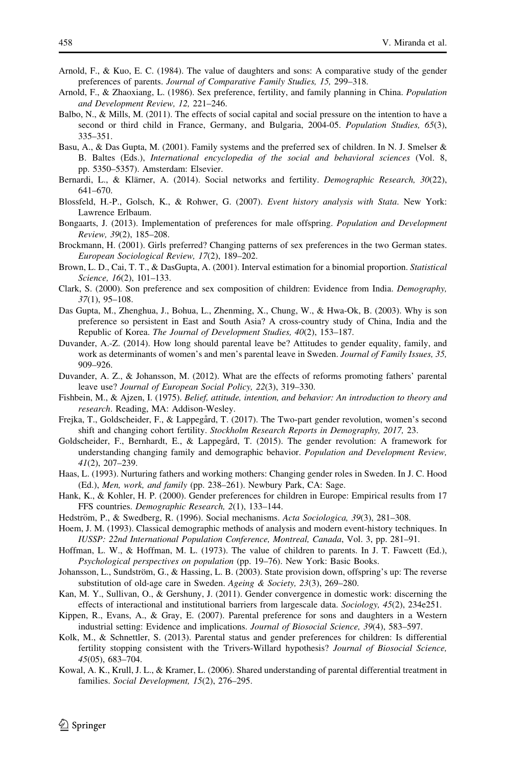- <span id="page-15-0"></span>Arnold, F., & Kuo, E. C. (1984). The value of daughters and sons: A comparative study of the gender preferences of parents. Journal of Comparative Family Studies, 15, 299–318.
- Arnold, F., & Zhaoxiang, L. (1986). Sex preference, fertility, and family planning in China. Population and Development Review, 12, 221–246.
- Balbo, N., & Mills, M. (2011). The effects of social capital and social pressure on the intention to have a second or third child in France, Germany, and Bulgaria, 2004-05. Population Studies, 65(3), 335–351.
- Basu, A., & Das Gupta, M. (2001). Family systems and the preferred sex of children. In N. J. Smelser & B. Baltes (Eds.), International encyclopedia of the social and behavioral sciences (Vol. 8, pp. 5350–5357). Amsterdam: Elsevier.
- Bernardi, L., & Klärner, A. (2014). Social networks and fertility. Demographic Research, 30(22), 641–670.
- Blossfeld, H.-P., Golsch, K., & Rohwer, G. (2007). Event history analysis with Stata. New York: Lawrence Erlbaum.
- Bongaarts, J. (2013). Implementation of preferences for male offspring. Population and Development Review, 39(2), 185–208.
- Brockmann, H. (2001). Girls preferred? Changing patterns of sex preferences in the two German states. European Sociological Review, 17(2), 189–202.
- Brown, L. D., Cai, T. T., & DasGupta, A. (2001). Interval estimation for a binomial proportion. Statistical Science, 16(2), 101–133.
- Clark, S. (2000). Son preference and sex composition of children: Evidence from India. Demography, 37(1), 95–108.
- Das Gupta, M., Zhenghua, J., Bohua, L., Zhenming, X., Chung, W., & Hwa-Ok, B. (2003). Why is son preference so persistent in East and South Asia? A cross-country study of China, India and the Republic of Korea. The Journal of Development Studies, 40(2), 153–187.
- Duvander, A.-Z. (2014). How long should parental leave be? Attitudes to gender equality, family, and work as determinants of women's and men's parental leave in Sweden. Journal of Family Issues, 35, 909–926.
- Duvander, A. Z., & Johansson, M. (2012). What are the effects of reforms promoting fathers' parental leave use? Journal of European Social Policy, 22(3), 319–330.
- Fishbein, M., & Ajzen, I. (1975). Belief, attitude, intention, and behavior: An introduction to theory and research. Reading, MA: Addison-Wesley.
- Frejka, T., Goldscheider, F., & Lappegård, T. (2017). The Two-part gender revolution, women's second shift and changing cohort fertility. Stockholm Research Reports in Demography, 2017, 23.
- Goldscheider, F., Bernhardt, E., & Lappegård, T. (2015). The gender revolution: A framework for understanding changing family and demographic behavior. Population and Development Review, 41(2), 207–239.
- Haas, L. (1993). Nurturing fathers and working mothers: Changing gender roles in Sweden. In J. C. Hood (Ed.), Men, work, and family (pp. 238–261). Newbury Park, CA: Sage.
- Hank, K., & Kohler, H. P. (2000). Gender preferences for children in Europe: Empirical results from 17 FFS countries. Demographic Research, 2(1), 133–144.
- Hedström, P., & Swedberg, R. (1996). Social mechanisms. Acta Sociologica, 39(3), 281–308.
- Hoem, J. M. (1993). Classical demographic methods of analysis and modern event-history techniques. In IUSSP: 22nd International Population Conference, Montreal, Canada, Vol. 3, pp. 281–91.
- Hoffman, L. W., & Hoffman, M. L. (1973). The value of children to parents. In J. T. Fawcett (Ed.), Psychological perspectives on population (pp. 19–76). New York: Basic Books.
- Johansson, L., Sundström, G., & Hassing, L. B. (2003). State provision down, offspring's up: The reverse substitution of old-age care in Sweden. Ageing & Society, 23(3), 269–280.
- Kan, M. Y., Sullivan, O., & Gershuny, J. (2011). Gender convergence in domestic work: discerning the effects of interactional and institutional barriers from largescale data. Sociology, 45(2), 234e251.
- Kippen, R., Evans, A., & Gray, E. (2007). Parental preference for sons and daughters in a Western industrial setting: Evidence and implications. Journal of Biosocial Science, 39(4), 583–597.
- Kolk, M., & Schnettler, S. (2013). Parental status and gender preferences for children: Is differential fertility stopping consistent with the Trivers-Willard hypothesis? Journal of Biosocial Science, 45(05), 683–704.
- Kowal, A. K., Krull, J. L., & Kramer, L. (2006). Shared understanding of parental differential treatment in families. Social Development, 15(2), 276–295.